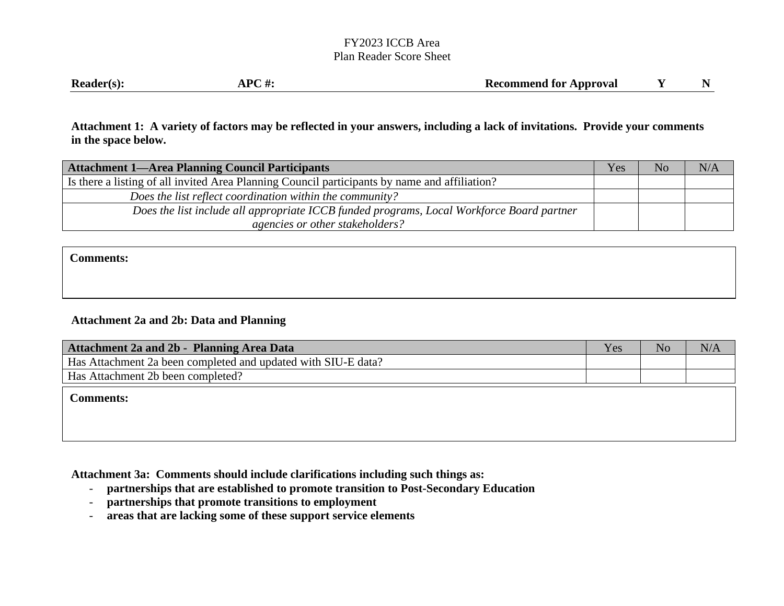#### FY2023 ICCB Area Plan Reader Score Sheet

| $Reader(s)$ : | <b>Recommend for Approval</b> |  |  |
|---------------|-------------------------------|--|--|
|---------------|-------------------------------|--|--|

**Attachment 1: A variety of factors may be reflected in your answers, including a lack of invitations. Provide your comments in the space below.** 

| <b>Attachment 1—Area Planning Council Participants</b>                                        | Yes | N <sub>0</sub> | N/A |
|-----------------------------------------------------------------------------------------------|-----|----------------|-----|
| Is there a listing of all invited Area Planning Council participants by name and affiliation? |     |                |     |
| Does the list reflect coordination within the community?                                      |     |                |     |
| Does the list include all appropriate ICCB funded programs, Local Workforce Board partner     |     |                |     |
| agencies or other stakeholders?                                                               |     |                |     |

**Comments:**

#### **Attachment 2a and 2b: Data and Planning**

| Attachment 2a and 2b - Planning Area Data                     | Yes | N <sub>0</sub> | N/A |
|---------------------------------------------------------------|-----|----------------|-----|
| Has Attachment 2a been completed and updated with SIU-E data? |     |                |     |
| Has Attachment 2b been completed?                             |     |                |     |
| <b>Comments:</b>                                              |     |                |     |

**Attachment 3a: Comments should include clarifications including such things as:**

- **partnerships that are established to promote transition to Post-Secondary Education**
- **partnerships that promote transitions to employment**
- **areas that are lacking some of these support service elements**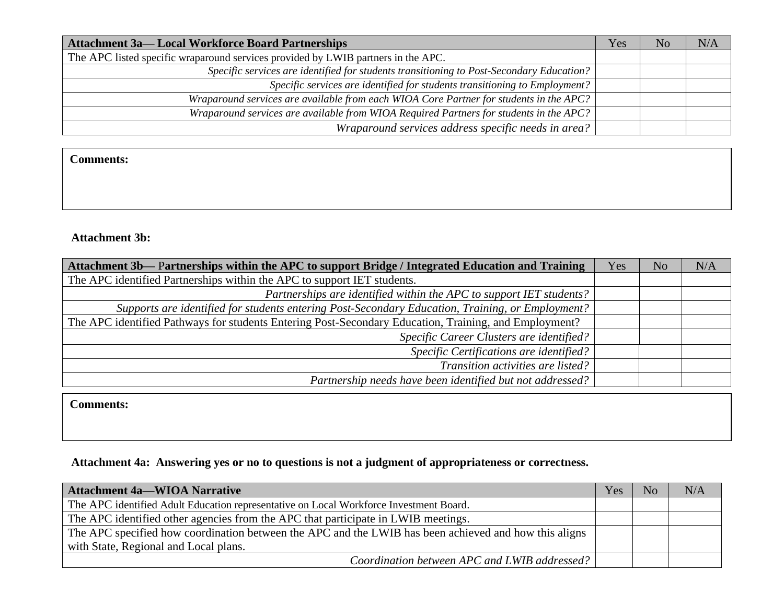| <b>Attachment 3a— Local Workforce Board Partnerships</b>                                 | Yes | N <sub>0</sub> | N/A |
|------------------------------------------------------------------------------------------|-----|----------------|-----|
| The APC listed specific wraparound services provided by LWIB partners in the APC.        |     |                |     |
| Specific services are identified for students transitioning to Post-Secondary Education? |     |                |     |
| Specific services are identified for students transitioning to Employment?               |     |                |     |
| Wraparound services are available from each WIOA Core Partner for students in the APC?   |     |                |     |
| Wraparound services are available from WIOA Required Partners for students in the APC?   |     |                |     |
| Wraparound services address specific needs in area?                                      |     |                |     |

**Comments:** 

### **Attachment 3b:**

| Attachment 3b— Partnerships within the APC to support Bridge / Integrated Education and Training      | Yes. | N <sub>0</sub> | N/A |
|-------------------------------------------------------------------------------------------------------|------|----------------|-----|
| The APC identified Partnerships within the APC to support IET students.                               |      |                |     |
| Partnerships are identified within the APC to support IET students?                                   |      |                |     |
| Supports are identified for students entering Post-Secondary Education, Training, or Employment?      |      |                |     |
| The APC identified Pathways for students Entering Post-Secondary Education, Training, and Employment? |      |                |     |
| Specific Career Clusters are identified?                                                              |      |                |     |
| Specific Certifications are identified?                                                               |      |                |     |
| Transition activities are listed?                                                                     |      |                |     |
| Partnership needs have been identified but not addressed?                                             |      |                |     |
|                                                                                                       |      |                |     |

**Comments:** 

# **Attachment 4a: Answering yes or no to questions is not a judgment of appropriateness or correctness.**

| <b>Attachment 4a—WIOA Narrative</b>                                                                   | Yes | N <sub>o</sub> | N/A |
|-------------------------------------------------------------------------------------------------------|-----|----------------|-----|
| The APC identified Adult Education representative on Local Workforce Investment Board.                |     |                |     |
| The APC identified other agencies from the APC that participate in LWIB meetings.                     |     |                |     |
| The APC specified how coordination between the APC and the LWIB has been achieved and how this aligns |     |                |     |
| with State, Regional and Local plans.                                                                 |     |                |     |
| Coordination between APC and LWIB addressed?                                                          |     |                |     |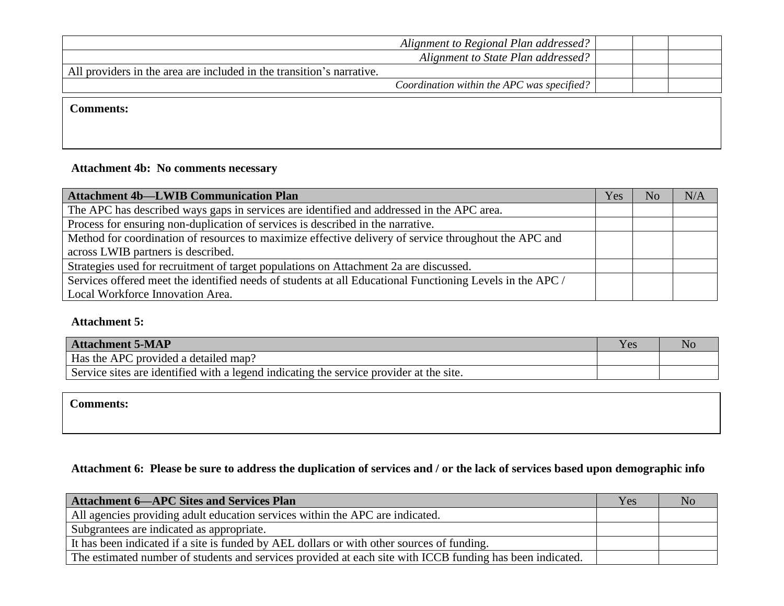|                                                                       | Alignment to Regional Plan addressed?      |  |  |
|-----------------------------------------------------------------------|--------------------------------------------|--|--|
|                                                                       | Alignment to State Plan addressed?         |  |  |
| All providers in the area are included in the transition's narrative. |                                            |  |  |
|                                                                       | Coordination within the APC was specified? |  |  |
| <b>Comments:</b>                                                      |                                            |  |  |

### **Attachment 4b: No comments necessary**

| <b>Attachment 4b—LWIB Communication Plan</b>                                                              | Yes | No. | N/A |
|-----------------------------------------------------------------------------------------------------------|-----|-----|-----|
| The APC has described ways gaps in services are identified and addressed in the APC area.                 |     |     |     |
| Process for ensuring non-duplication of services is described in the narrative.                           |     |     |     |
| Method for coordination of resources to maximize effective delivery of service throughout the APC and     |     |     |     |
| across LWIB partners is described.                                                                        |     |     |     |
| Strategies used for recruitment of target populations on Attachment 2a are discussed.                     |     |     |     |
| Services offered meet the identified needs of students at all Educational Functioning Levels in the APC / |     |     |     |
| Local Workforce Innovation Area.                                                                          |     |     |     |

#### **Attachment 5:**

| <b>Attachment 5-MAP</b>                                                                 |  |
|-----------------------------------------------------------------------------------------|--|
| Has the APC provided a detailed map?                                                    |  |
| Service sites are identified with a legend indicating the service provider at the site. |  |

**Comments:** 

## **Attachment 6: Please be sure to address the duplication of services and / or the lack of services based upon demographic info**

| <b>Attachment 6—APC Sites and Services Plan</b>                                                           | Yes | No |
|-----------------------------------------------------------------------------------------------------------|-----|----|
| All agencies providing adult education services within the APC are indicated.                             |     |    |
| Subgrantees are indicated as appropriate.                                                                 |     |    |
| It has been indicated if a site is funded by AEL dollars or with other sources of funding.                |     |    |
| The estimated number of students and services provided at each site with ICCB funding has been indicated. |     |    |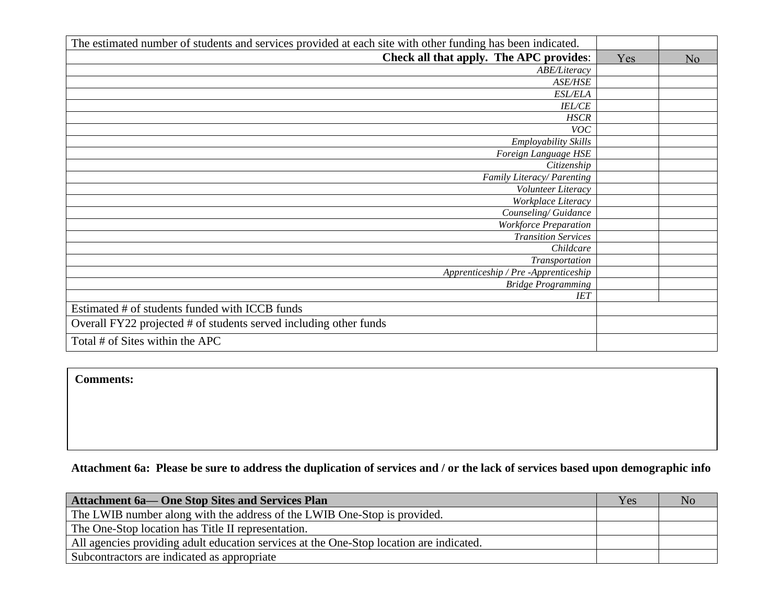| The estimated number of students and services provided at each site with other funding has been indicated. |     |                |
|------------------------------------------------------------------------------------------------------------|-----|----------------|
| Check all that apply. The APC provides:                                                                    | Yes | N <sub>o</sub> |
| ABE/Literacy                                                                                               |     |                |
| <b>ASE/HSE</b>                                                                                             |     |                |
| <b>ESL/ELA</b>                                                                                             |     |                |
| IEL/CE                                                                                                     |     |                |
| <b>HSCR</b>                                                                                                |     |                |
| <b>VOC</b>                                                                                                 |     |                |
| Employability Skills                                                                                       |     |                |
| Foreign Language HSE                                                                                       |     |                |
| Citizenship                                                                                                |     |                |
| Family Literacy/ Parenting                                                                                 |     |                |
| Volunteer Literacy                                                                                         |     |                |
| Workplace Literacy                                                                                         |     |                |
| Counseling/Guidance                                                                                        |     |                |
| <b>Workforce Preparation</b>                                                                               |     |                |
| <b>Transition Services</b>                                                                                 |     |                |
| Childcare                                                                                                  |     |                |
| Transportation                                                                                             |     |                |
| Apprenticeship / Pre -Apprenticeship                                                                       |     |                |
| <b>Bridge Programming</b>                                                                                  |     |                |
| $I\!E\!T$                                                                                                  |     |                |
| Estimated # of students funded with ICCB funds                                                             |     |                |
| Overall FY22 projected # of students served including other funds                                          |     |                |
| Total # of Sites within the APC                                                                            |     |                |

**Comments:** 

# **Attachment 6a: Please be sure to address the duplication of services and / or the lack of services based upon demographic info**

| <b>Attachment 6a— One Stop Sites and Services Plan</b>                                  | Yes | NO. |
|-----------------------------------------------------------------------------------------|-----|-----|
| The LWIB number along with the address of the LWIB One-Stop is provided.                |     |     |
| The One-Stop location has Title II representation.                                      |     |     |
| All agencies providing adult education services at the One-Stop location are indicated. |     |     |
| Subcontractors are indicated as appropriate                                             |     |     |